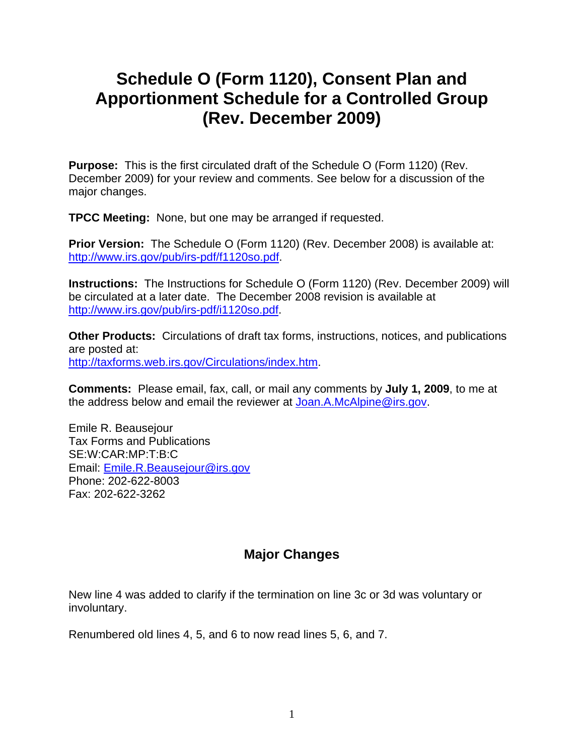## **Schedule O (Form 1120), Consent Plan and Apportionment Schedule for a Controlled Group (Rev. December 2009)**

**Purpose:** This is the first circulated draft of the Schedule O (Form 1120) (Rev. December 2009) for your review and comments. See below for a discussion of the major changes.

**TPCC Meeting:** None, but one may be arranged if requested.

**Prior Version:** The Schedule O (Form 1120) (Rev. December 2008) is available at: http://www.irs.gov/pub/irs-pdf/f1120so.pdf.

**Instructions:** The Instructions for Schedule O (Form 1120) (Rev. December 2009) will be circulated at a later date. The December 2008 revision is available at http://www.irs.gov/pub/irs-pdf/i1120so.pdf.

**Other Products:** Circulations of draft tax forms, instructions, notices, and publications are posted at: http://taxforms.web.irs.gov/Circulations/index.htm.

**Comments:** Please email, fax, call, or mail any comments by **July 1, 2009**, to me at the address below and email the reviewer at Joan.A.McAlpine@irs.gov.

Emile R. Beausejour Tax Forms and Publications SE:W:CAR:MP:T:B:C Email: Emile.R.Beausejour@irs.gov Phone: 202-622-8003 Fax: 202-622-3262

## **Major Changes**

New line 4 was added to clarify if the termination on line 3c or 3d was voluntary or involuntary.

Renumbered old lines 4, 5, and 6 to now read lines 5, 6, and 7.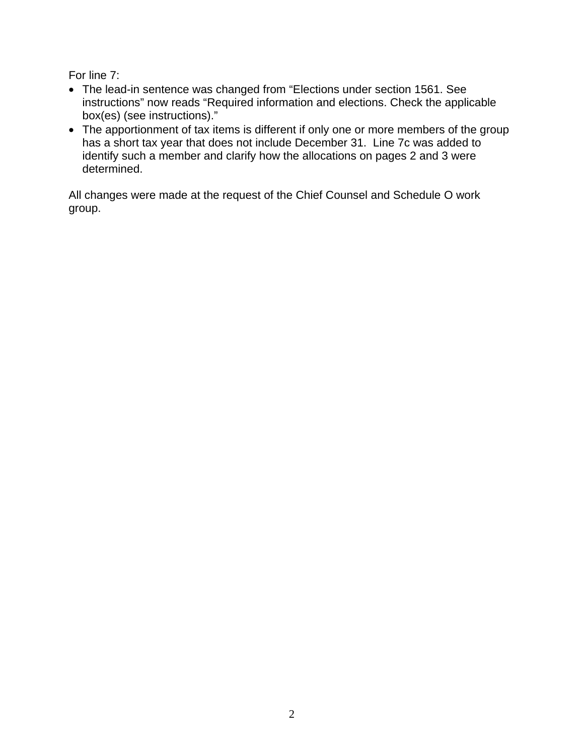For line 7:

- The lead-in sentence was changed from "Elections under section 1561. See instructions" now reads "Required information and elections. Check the applicable box(es) (see instructions)."
- The apportionment of tax items is different if only one or more members of the group has a short tax year that does not include December 31. Line 7c was added to identify such a member and clarify how the allocations on pages 2 and 3 were determined.

All changes were made at the request of the Chief Counsel and Schedule O work group.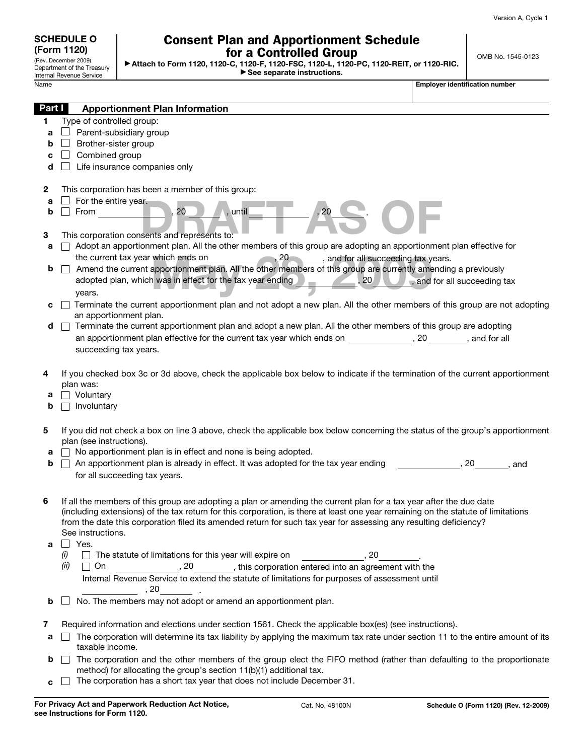| <b>SCHEDULE O</b>    |
|----------------------|
| (Form 1120)          |
| (Rev. December 2009) |

Department of the Treasury Internal Revenue Service

## Consent Plan and Apportionment Schedule for a Controlled Group

- **Attach to Form 1120, 1120-C, 1120-F, 1120-FSC, 1120-L, 1120-PC, 1120-REIT, or 1120-RIC.** - **See separate instructions.**

Name **Employer identification number Employer identification number** 

| Part I | <b>Apportionment Plan Information</b>                                                                                                             |                              |
|--------|---------------------------------------------------------------------------------------------------------------------------------------------------|------------------------------|
| 1.     | Type of controlled group:                                                                                                                         |                              |
| a      | $\Box$ Parent-subsidiary group                                                                                                                    |                              |
| b      | Brother-sister group                                                                                                                              |                              |
| c      | Combined group                                                                                                                                    |                              |
| d      | Life insurance companies only                                                                                                                     |                              |
| 2      | This corporation has been a member of this group:                                                                                                 |                              |
| a      | For the entire year.                                                                                                                              |                              |
| b      | , 20<br>, until<br>20<br>From                                                                                                                     |                              |
| 3      | This corporation consents and represents to:                                                                                                      |                              |
| а      | Adopt an apportionment plan. All the other members of this group are adopting an apportionment plan effective for                                 |                              |
|        | the current tax year which ends on<br>, 20<br>, and for all succeeding tax years.                                                                 |                              |
| b      | Amend the current apportionment plan. All the other members of this group are currently amending a previously                                     |                              |
|        | adopted plan, which was in effect for the tax year ending<br>20<br>$\sim$                                                                         | , and for all succeeding tax |
|        | years.                                                                                                                                            |                              |
| с      | Terminate the current apportionment plan and not adopt a new plan. All the other members of this group are not adopting<br>an apportionment plan. |                              |
| d      | Terminate the current apportionment plan and adopt a new plan. All the other members of this group are adopting                                   |                              |
|        | an apportionment plan effective for the current tax year which ends on                                                                            | , 20<br>, and for all        |
|        | succeeding tax years.                                                                                                                             |                              |
|        |                                                                                                                                                   |                              |
| 4      | If you checked box 3c or 3d above, check the applicable box below to indicate if the termination of the current apportionment                     |                              |
|        | plan was:                                                                                                                                         |                              |
| а      | Voluntary                                                                                                                                         |                              |
| b      | Involuntary                                                                                                                                       |                              |
|        |                                                                                                                                                   |                              |
| 5      | If you did not check a box on line 3 above, check the applicable box below concerning the status of the group's apportionment                     |                              |
|        | plan (see instructions).                                                                                                                          |                              |
| а      | No apportionment plan is in effect and none is being adopted.                                                                                     |                              |
| b      | An apportionment plan is already in effect. It was adopted for the tax year ending                                                                | . 20<br>and                  |
|        | for all succeeding tax years.                                                                                                                     |                              |
| 6      | If all the members of this group are adopting a plan or amending the current plan for a tax year after the due date                               |                              |
|        | (including extensions) of the tax return for this corporation, is there at least one year remaining on the statute of limitations                 |                              |
|        | from the date this corporation filed its amended return for such tax year for assessing any resulting deficiency?                                 |                              |
|        | See instructions.                                                                                                                                 |                              |
| a      | Yes.                                                                                                                                              |                              |
|        | $\Box$ The statute of limitations for this year will expire on<br>(i)<br>. 20                                                                     |                              |
|        | (ii)<br>, 20<br>$\Box$ On<br>, this corporation entered into an agreement with the                                                                |                              |
|        | Internal Revenue Service to extend the statute of limitations for purposes of assessment until                                                    |                              |
|        | , 20                                                                                                                                              |                              |
| b      | No. The members may not adopt or amend an apportionment plan.                                                                                     |                              |
| 7      | Required information and elections under section 1561. Check the applicable box(es) (see instructions).                                           |                              |
| а      | The corporation will determine its tax liability by applying the maximum tax rate under section 11 to the entire amount of its                    |                              |
|        | taxable income.                                                                                                                                   |                              |
| b      | The corporation and the other members of the group elect the FIFO method (rather than defaulting to the proportionate                             |                              |
|        | method) for allocating the group's section 11(b)(1) additional tax.                                                                               |                              |
| c      | The corporation has a short tax year that does not include December 31.                                                                           |                              |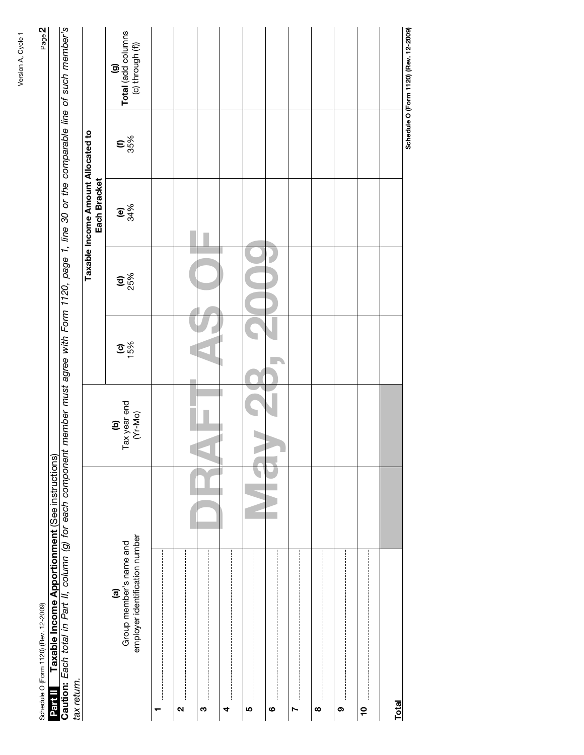| tax return.       |                                                                                     |                                                                                      |               |                  |                                                    |                         |                                               |
|-------------------|-------------------------------------------------------------------------------------|--------------------------------------------------------------------------------------|---------------|------------------|----------------------------------------------------|-------------------------|-----------------------------------------------|
|                   |                                                                                     |                                                                                      |               |                  | Taxable Income Amount Allocated to<br>Each Bracket |                         |                                               |
|                   | employer identification number<br>Group member's name and<br>$\widehat{\mathbf{e}}$ | $\begin{array}{c} \hbox{\bf (b)} \ \hbox{Tax year end} \ \hbox{(Vr-Mo)} \end{array}$ | $rac{6}{15%}$ | $\frac{1}{25\%}$ | $e_{34\%}$                                         | $\mathbf{e}^{328}_{88}$ | (g)<br>Total (add columns<br>(c) through (f)) |
| ┯                 |                                                                                     |                                                                                      |               |                  |                                                    |                         |                                               |
| $\mathbf{\Omega}$ |                                                                                     |                                                                                      |               |                  |                                                    |                         |                                               |
| ო                 |                                                                                     |                                                                                      |               |                  |                                                    |                         |                                               |
| 4                 |                                                                                     |                                                                                      |               |                  |                                                    |                         |                                               |
| LO,               |                                                                                     |                                                                                      |               |                  |                                                    |                         |                                               |
| $\circ$           |                                                                                     |                                                                                      |               |                  |                                                    |                         |                                               |
| r                 |                                                                                     |                                                                                      |               |                  |                                                    |                         |                                               |
| $\infty$          |                                                                                     |                                                                                      |               |                  |                                                    |                         |                                               |
| :<br>:<br>:<br>ၜ  |                                                                                     |                                                                                      |               |                  |                                                    |                         |                                               |
| <u>°</u>          |                                                                                     |                                                                                      |               |                  |                                                    |                         |                                               |
| Total             |                                                                                     |                                                                                      |               |                  |                                                    |                         |                                               |
|                   |                                                                                     |                                                                                      |               |                  |                                                    |                         | Schedule O (Form 1120) (Rev. 12-2009)         |

 $Page 2$ 

Schedule O (Form 1120) (Rev. 12-2009) Page **2** Schedule O (Form 1120) (Rev. 12-2009)<br>Partia II Taxable Income Apportionment (See instructions)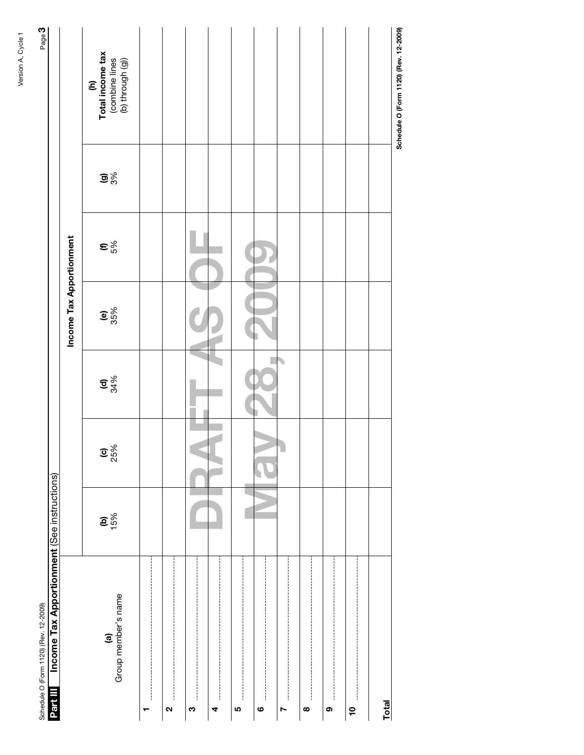| Schedule O (Form 1120) (Rev. 12-2009)                   |                 |                  |               |                          |                      |                                | Page 3                                                        |
|---------------------------------------------------------|-----------------|------------------|---------------|--------------------------|----------------------|--------------------------------|---------------------------------------------------------------|
| Income Tax Apportionment (See instructions)<br>Part III |                 |                  |               |                          |                      |                                |                                                               |
|                                                         |                 |                  |               | Income Tax Apportionment |                      |                                |                                                               |
| (a)<br>Group member's name                              | $\frac{15}{15}$ | $\frac{6}{25\%}$ | $\frac{1}{2}$ | $rac{6}{25%}$            | $\epsilon_{\rm s}^2$ | $\mathbf{G}^{\infty}_{\infty}$ | (h)<br>Total income tax<br>(combine lines<br>(b) through (g)) |
| ┯                                                       |                 |                  |               |                          |                      |                                |                                                               |
| N                                                       |                 |                  |               |                          |                      |                                |                                                               |
| $\frac{1}{1}$<br>ო                                      |                 |                  |               |                          |                      |                                |                                                               |
| 4                                                       |                 |                  |               |                          |                      |                                |                                                               |
| Ю                                                       |                 |                  |               |                          |                      |                                |                                                               |
| ဖ                                                       |                 |                  |               |                          |                      |                                |                                                               |
| N                                                       |                 |                  |               |                          |                      |                                |                                                               |
| $\pmb{\infty}$                                          |                 |                  |               |                          |                      |                                |                                                               |
| ļ<br>စ                                                  |                 |                  |               |                          |                      |                                |                                                               |
| °                                                       |                 |                  |               |                          |                      |                                |                                                               |
| <b>Total</b>                                            |                 |                  |               |                          |                      |                                |                                                               |
|                                                         |                 |                  |               |                          |                      |                                | Schedule O (Form 1120) (Rev. 12-2009)                         |